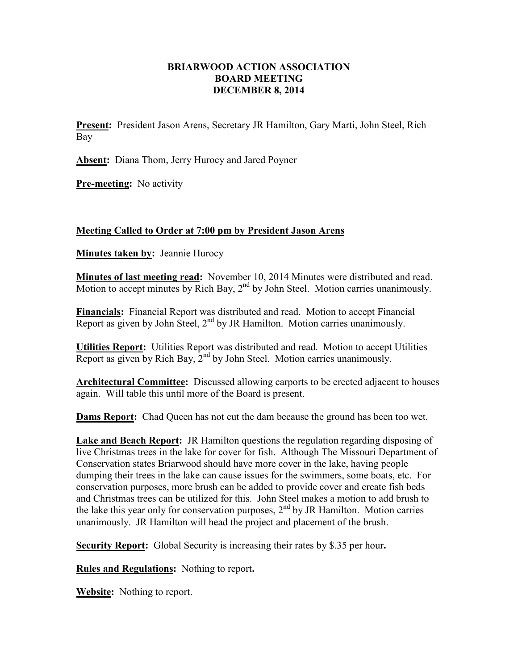## **BRIARWOOD ACTION ASSOCIATION BOARD MEETING DECEMBER 8, 2014**

**Present:** President Jason Arens, Secretary JR Hamilton, Gary Marti, John Steel, Rich Bay

**Absent:** Diana Thom, Jerry Hurocy and Jared Poyner

**Pre-meeting:** No activity

## **Meeting Called to Order at 7:00 pm by President Jason Arens**

**Minutes taken by:** Jeannie Hurocy

**Minutes of last meeting read:** November 10, 2014 Minutes were distributed and read. Motion to accept minutes by Rich Bay,  $2<sup>nd</sup>$  by John Steel. Motion carries unanimously.

**Financials:** Financial Report was distributed and read. Motion to accept Financial Report as given by John Steel,  $2<sup>nd</sup>$  by JR Hamilton. Motion carries unanimously.

**Utilities Report:** Utilities Report was distributed and read. Motion to accept Utilities Report as given by Rich Bay,  $2<sup>nd</sup>$  by John Steel. Motion carries unanimously.

**Architectural Committee:** Discussed allowing carports to be erected adjacent to houses again. Will table this until more of the Board is present.

**Dams Report:** Chad Queen has not cut the dam because the ground has been too wet.

**Lake and Beach Report:** JR Hamilton questions the regulation regarding disposing of live Christmas trees in the lake for cover for fish. Although The Missouri Department of Conservation states Briarwood should have more cover in the lake, having people dumping their trees in the lake can cause issues for the swimmers, some boats, etc. For conservation purposes, more brush can be added to provide cover and create fish beds and Christmas trees can be utilized for this. John Steel makes a motion to add brush to the lake this year only for conservation purposes,  $2<sup>nd</sup>$  by JR Hamilton. Motion carries unanimously. JR Hamilton will head the project and placement of the brush.

**Security Report:** Global Security is increasing their rates by \$.35 per hour**.** 

**Rules and Regulations:** Nothing to report**.** 

**Website:** Nothing to report.